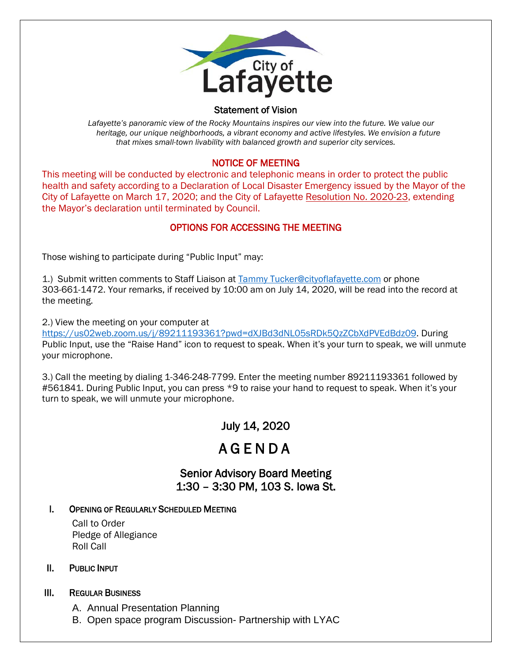

#### Statement of Vision

 *Lafayette's panoramic view of the Rocky Mountains inspires our view into the future. We value our heritage, our unique neighborhoods, a vibrant economy and active lifestyles. We envision a future that mixes small-town livability with balanced growth and superior city services.*

#### NOTICE OF MEETING

This meeting will be conducted by electronic and telephonic means in order to protect the public health and safety according to a Declaration of Local Disaster Emergency issued by the Mayor of the City of Lafayette on March 17, 2020; and the City of Lafayette Resolution No. 2020-23, extending the Mayor's declaration until terminated by Council.

#### OPTIONS FOR ACCESSING THE MEETING

Those wishing to participate during "Public Input" may:

1.) Submit written comments to Staff Liaison at [Tammy Tucker@cityoflafayette.com](mailto:Tammy%20Tucker@cityoflafayette.com) or phone 303-661-1472. Your remarks, if received by 10:00 am on July 14, 2020, will be read into the record at the meeting.

2.) View the meeting on your computer at [https://us02web.zoom.us/j/89211193361?pwd=dXJBd3dNL05sRDk5QzZCbXdPVEdBdz09.](https://us02web.zoom.us/j/89211193361?pwd=dXJBd3dNL05sRDk5QzZCbXdPVEdBdz09) During Public Input, use the "Raise Hand" icon to request to speak. When it's your turn to speak, we will unmute your microphone.

3.) Call the meeting by dialing 1-346-248-7799. Enter the meeting number 89211193361 followed by #561841. During Public Input, you can press \*9 to raise your hand to request to speak. When it's your turn to speak, we will unmute your microphone.

# July 14, 2020

# AGENDA

## Senior Advisory Board Meeting 1:30 – 3:30 PM, 103 S. Iowa St.

#### I. OPENING OF REGULARLY SCHEDULED MEETING

Call to Order Pledge of Allegiance Roll Call

#### II. PUBLIC INPUT

#### III. REGULAR BUSINESS

A. Annual Presentation Planning

B. Open space program Discussion- Partnership with LYAC